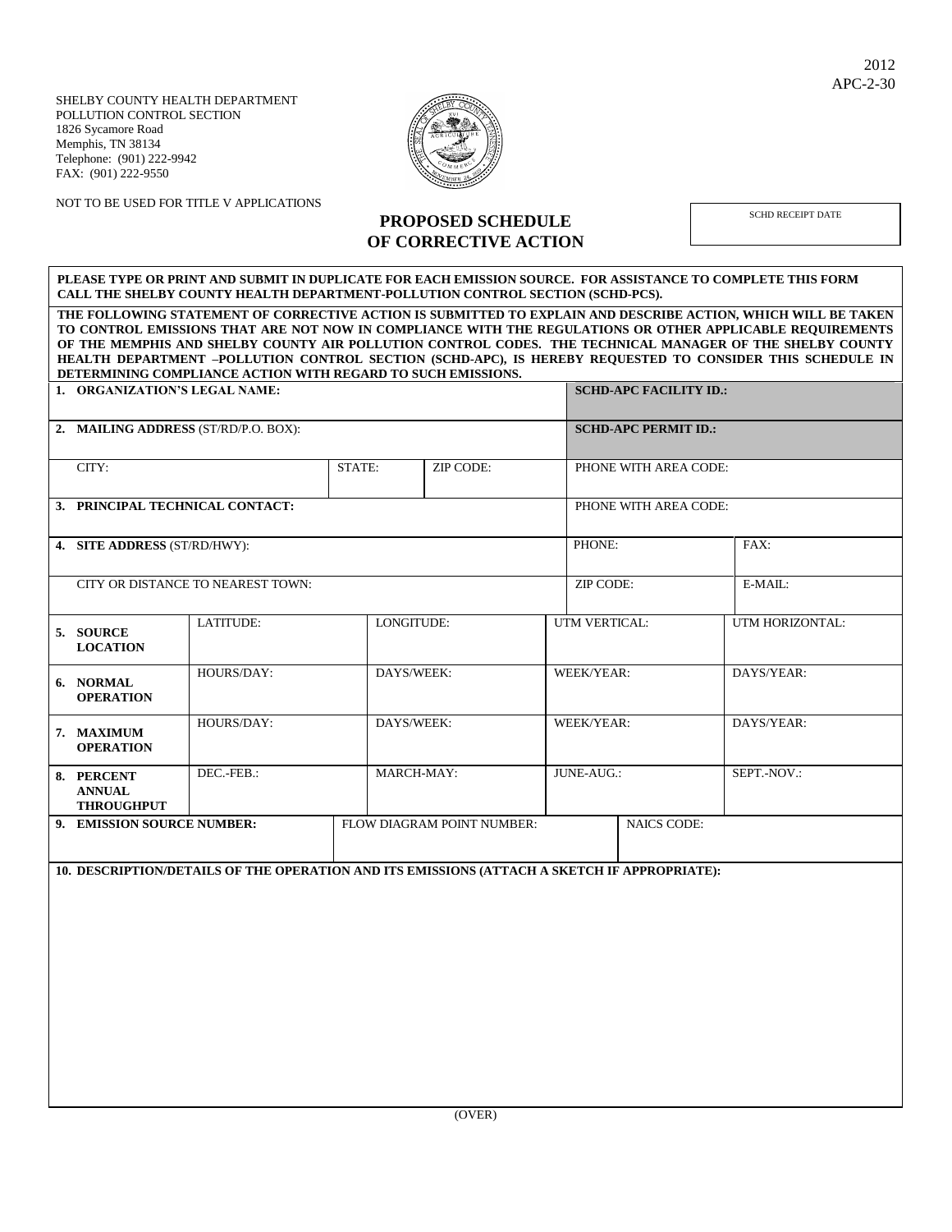SHELBY COUNTY HEALTH DEPARTMENT POLLUTION CONTROL SECTION 1826 Sycamore Road Memphis, TN 38134 Telephone: (901) 222-9942 FAX: (901) 222-9550



NOT TO BE USED FOR TITLE V APPLICATIONS

## **PROPOSED SCHEDULE OF CORRECTIVE ACTION**

SCHD RECEIPT DATE

## **PLEASE TYPE OR PRINT AND SUBMIT IN DUPLICATE FOR EACH EMISSION SOURCE. FOR ASSISTANCE TO COMPLETE THIS FORM CALL THE SHELBY COUNTY HEALTH DEPARTMENT-POLLUTION CONTROL SECTION (SCHD-PCS).**

**THE FOLLOWING STATEMENT OF CORRECTIVE ACTION IS SUBMITTED TO EXPLAIN AND DESCRIBE ACTION, WHICH WILL BE TAKEN TO CONTROL EMISSIONS THAT ARE NOT NOW IN COMPLIANCE WITH THE REGULATIONS OR OTHER APPLICABLE REQUIREMENTS OF THE MEMPHIS AND SHELBY COUNTY AIR POLLUTION CONTROL CODES. THE TECHNICAL MANAGER OF THE SHELBY COUNTY HEALTH DEPARTMENT –POLLUTION CONTROL SECTION (SCHD-APC), IS HEREBY REQUESTED TO CONSIDER THIS SCHEDULE IN DETERMINING COMPLIANCE ACTION WITH REGARD TO SUCH EMISSIONS.**

| 1. ORGANIZATION'S LEGAL NAME:                                                                |            |                                      |            |                          |                       | <b>SCHD-APC FACILITY ID.:</b> |                                       |  |  |  |  |
|----------------------------------------------------------------------------------------------|------------|--------------------------------------|------------|--------------------------|-----------------------|-------------------------------|---------------------------------------|--|--|--|--|
|                                                                                              |            | <b>SCHD-APC PERMIT ID.:</b>          |            |                          |                       |                               |                                       |  |  |  |  |
| CITY:                                                                                        |            | STATE:                               | ZIP CODE:  |                          | PHONE WITH AREA CODE: |                               |                                       |  |  |  |  |
| 3. PRINCIPAL TECHNICAL CONTACT:                                                              |            |                                      |            |                          |                       | PHONE WITH AREA CODE:         |                                       |  |  |  |  |
| 4. SITE ADDRESS (ST/RD/HWY):                                                                 |            |                                      |            |                          |                       |                               | FAX:                                  |  |  |  |  |
| CITY OR DISTANCE TO NEAREST TOWN:                                                            |            |                                      |            |                          | ZIP CODE:             |                               | E-MAIL:                               |  |  |  |  |
| 5. SOURCE<br><b>LOCATION</b>                                                                 | LATITUDE:  |                                      |            |                          |                       |                               | UTM HORIZONTAL:                       |  |  |  |  |
| 6. NORMAL<br><b>OPERATION</b>                                                                | HOURS/DAY: | DAYS/WEEK:                           |            |                          | WEEK/YEAR:            |                               | DAYS/YEAR:                            |  |  |  |  |
| 7. MAXIMUM<br><b>OPERATION</b>                                                               | HOURS/DAY: |                                      |            |                          |                       |                               | DAYS/YEAR:                            |  |  |  |  |
| 8. PERCENT<br><b>ANNUAL</b><br><b>THROUGHPUT</b>                                             | DEC.-FEB.: |                                      | MARCH-MAY: |                          | JUNE-AUG.:            |                               | SEPT.-NOV.:                           |  |  |  |  |
| 9. EMISSION SOURCE NUMBER:                                                                   |            | FLOW DIAGRAM POINT NUMBER:           |            |                          | <b>NAICS CODE:</b>    |                               |                                       |  |  |  |  |
| 10. DESCRIPTION/DETAILS OF THE OPERATION AND ITS EMISSIONS (ATTACH A SKETCH IF APPROPRIATE): |            |                                      |            |                          |                       |                               |                                       |  |  |  |  |
|                                                                                              |            |                                      |            |                          |                       |                               |                                       |  |  |  |  |
|                                                                                              |            |                                      |            |                          |                       |                               |                                       |  |  |  |  |
|                                                                                              |            |                                      |            |                          |                       |                               |                                       |  |  |  |  |
|                                                                                              |            |                                      |            |                          |                       |                               |                                       |  |  |  |  |
|                                                                                              |            |                                      |            |                          |                       |                               |                                       |  |  |  |  |
|                                                                                              |            | 2. MAILING ADDRESS (ST/RD/P.O. BOX): |            | LONGITUDE:<br>DAYS/WEEK: |                       |                               | PHONE:<br>UTM VERTICAL:<br>WEEK/YEAR: |  |  |  |  |